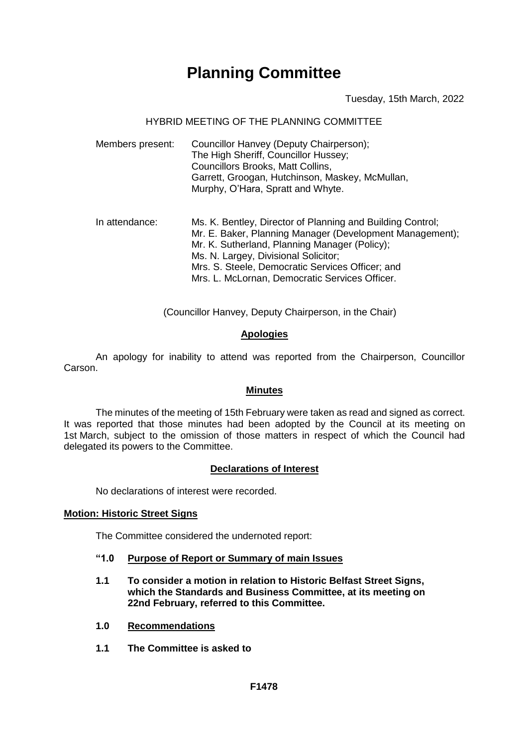# **Planning Committee**

# Tuesday, 15th March, 2022

# HYBRID MEETING OF THE PLANNING COMMITTEE

| Members present: | Councillor Hanvey (Deputy Chairperson);         |
|------------------|-------------------------------------------------|
|                  | The High Sheriff, Councillor Hussey;            |
|                  | <b>Councillors Brooks, Matt Collins,</b>        |
|                  | Garrett, Groogan, Hutchinson, Maskey, McMullan, |
|                  | Murphy, O'Hara, Spratt and Whyte.               |

In attendance: Ms. K. Bentley, Director of Planning and Building Control; Mr. E. Baker, Planning Manager (Development Management); Mr. K. Sutherland, Planning Manager (Policy); Ms. N. Largey, Divisional Solicitor: Mrs. S. Steele, Democratic Services Officer; and Mrs. L. McLornan, Democratic Services Officer.

(Councillor Hanvey, Deputy Chairperson, in the Chair)

# **Apologies**

An apology for inability to attend was reported from the Chairperson, Councillor Carson.

#### **Minutes**

The minutes of the meeting of 15th February were taken as read and signed as correct. It was reported that those minutes had been adopted by the Council at its meeting on 1st March, subject to the omission of those matters in respect of which the Council had delegated its powers to the Committee.

#### **Declarations of Interest**

No declarations of interest were recorded.

#### **Motion: Historic Street Signs**

The Committee considered the undernoted report:

- **"1.0 Purpose of Report or Summary of main Issues**
- **1.1 To consider a motion in relation to Historic Belfast Street Signs, which the Standards and Business Committee, at its meeting on 22nd February, referred to this Committee.**
- **1.0 Recommendations**
- **1.1 The Committee is asked to**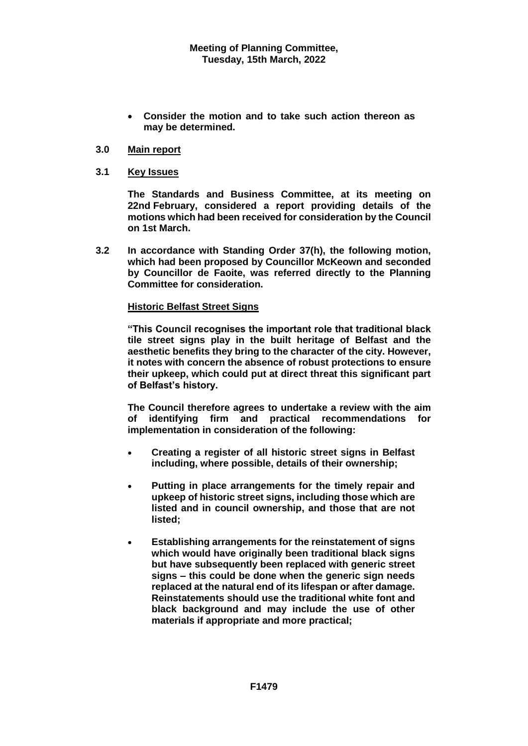**Consider the motion and to take such action thereon as may be determined.** 

# **3.0 Main report**

# **3.1 Key Issues**

**The Standards and Business Committee, at its meeting on 22nd February, considered a report providing details of the motions which had been received for consideration by the Council on 1st March.**

**3.2 In accordance with Standing Order 37(h), the following motion, which had been proposed by Councillor McKeown and seconded by Councillor de Faoite, was referred directly to the Planning Committee for consideration.** 

# **Historic Belfast Street Signs**

**"This Council recognises the important role that traditional black tile street signs play in the built heritage of Belfast and the aesthetic benefits they bring to the character of the city. However, it notes with concern the absence of robust protections to ensure their upkeep, which could put at direct threat this significant part of Belfast's history.**

**The Council therefore agrees to undertake a review with the aim of identifying firm and practical recommendations for implementation in consideration of the following:**

- **Creating a register of all historic street signs in Belfast including, where possible, details of their ownership;**
- **Putting in place arrangements for the timely repair and upkeep of historic street signs, including those which are listed and in council ownership, and those that are not listed;**
- **Establishing arrangements for the reinstatement of signs which would have originally been traditional black signs but have subsequently been replaced with generic street signs – this could be done when the generic sign needs replaced at the natural end of its lifespan or after damage. Reinstatements should use the traditional white font and black background and may include the use of other materials if appropriate and more practical;**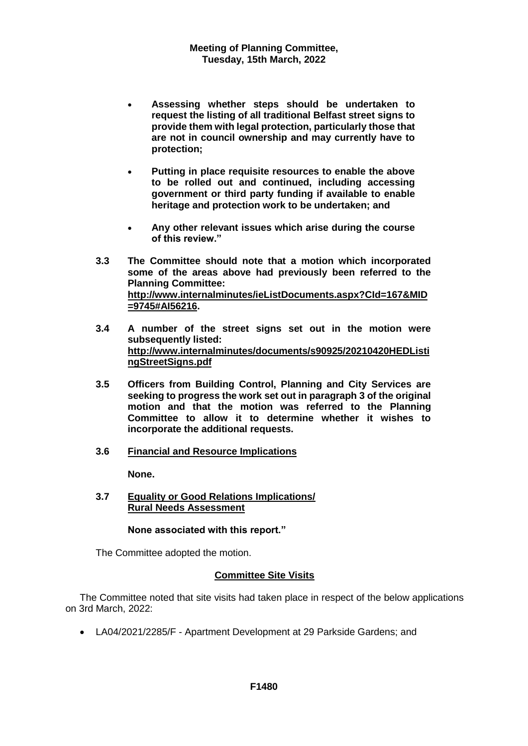- **Assessing whether steps should be undertaken to request the listing of all traditional Belfast street signs to provide them with legal protection, particularly those that are not in council ownership and may currently have to protection;**
- **Putting in place requisite resources to enable the above to be rolled out and continued, including accessing government or third party funding if available to enable heritage and protection work to be undertaken; and**
- **Any other relevant issues which arise during the course of this review."**
- **3.3 The Committee should note that a motion which incorporated some of the areas above had previously been referred to the Planning Committee: [http://www.internalminutes/ieListDocuments.aspx?CId=167&MID](http://www.internalminutes/ieListDocuments.aspx?CId=167&MID=9745#AI56216) [=9745#AI56216.](http://www.internalminutes/ieListDocuments.aspx?CId=167&MID=9745#AI56216)**
- **3.4 A number of the street signs set out in the motion were subsequently listed: [http://www.internalminutes/documents/s90925/20210420HEDListi](http://www.internalminutes/documents/s90925/20210420HEDListingStreetSigns.pdf) [ngStreetSigns.pdf](http://www.internalminutes/documents/s90925/20210420HEDListingStreetSigns.pdf)**
- **3.5 Officers from Building Control, Planning and City Services are seeking to progress the work set out in paragraph 3 of the original motion and that the motion was referred to the Planning Committee to allow it to determine whether it wishes to incorporate the additional requests.**
- **3.6 Financial and Resource Implications**

**None.**

**3.7 Equality or Good Relations Implications/ Rural Needs Assessment**

# **None associated with this report."**

The Committee adopted the motion.

# **Committee Site Visits**

The Committee noted that site visits had taken place in respect of the below applications on 3rd March, 2022:

LA04/2021/2285/F - Apartment Development at 29 Parkside Gardens; and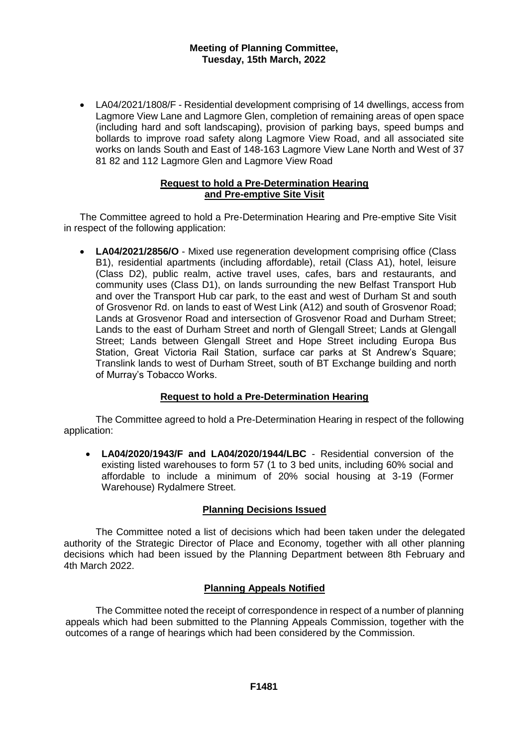LA04/2021/1808/F - Residential development comprising of 14 dwellings, access from Lagmore View Lane and Lagmore Glen, completion of remaining areas of open space (including hard and soft landscaping), provision of parking bays, speed bumps and bollards to improve road safety along Lagmore View Road, and all associated site works on lands South and East of 148-163 Lagmore View Lane North and West of 37 81 82 and 112 Lagmore Glen and Lagmore View Road

# **Request to hold a Pre-Determination Hearing and Pre-emptive Site Visit**

The Committee agreed to hold a Pre-Determination Hearing and Pre-emptive Site Visit in respect of the following application:

 **LA04/2021/2856/O** - Mixed use regeneration development comprising office (Class B1), residential apartments (including affordable), retail (Class A1), hotel, leisure (Class D2), public realm, active travel uses, cafes, bars and restaurants, and community uses (Class D1), on lands surrounding the new Belfast Transport Hub and over the Transport Hub car park, to the east and west of Durham St and south of Grosvenor Rd. on lands to east of West Link (A12) and south of Grosvenor Road; Lands at Grosvenor Road and intersection of Grosvenor Road and Durham Street; Lands to the east of Durham Street and north of Glengall Street; Lands at Glengall Street; Lands between Glengall Street and Hope Street including Europa Bus Station, Great Victoria Rail Station, surface car parks at St Andrew's Square; Translink lands to west of Durham Street, south of BT Exchange building and north of Murray's Tobacco Works.

# **Request to hold a Pre-Determination Hearing**

The Committee agreed to hold a Pre-Determination Hearing in respect of the following application:

 **LA04/2020/1943/F and LA04/2020/1944/LBC** - Residential conversion of the existing listed warehouses to form 57 (1 to 3 bed units, including 60% social and affordable to include a minimum of 20% social housing at 3-19 (Former Warehouse) Rydalmere Street.

# **Planning Decisions Issued**

The Committee noted a list of decisions which had been taken under the delegated authority of the Strategic Director of Place and Economy, together with all other planning decisions which had been issued by the Planning Department between 8th February and 4th March 2022.

# **Planning Appeals Notified**

The Committee noted the receipt of correspondence in respect of a number of planning appeals which had been submitted to the Planning Appeals Commission, together with the outcomes of a range of hearings which had been considered by the Commission.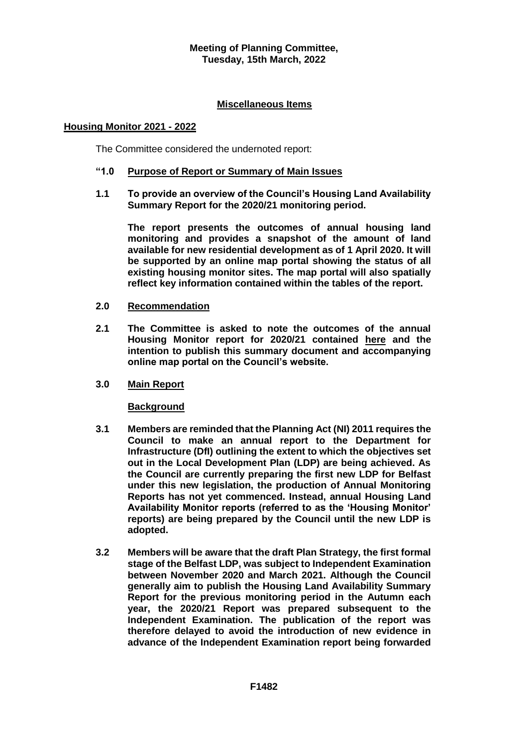# **Miscellaneous Items**

# **Housing Monitor 2021 - 2022**

The Committee considered the undernoted report:

# **"1.0 Purpose of Report or Summary of Main Issues**

**1.1 To provide an overview of the Council's Housing Land Availability Summary Report for the 2020/21 monitoring period.**

**The report presents the outcomes of annual housing land monitoring and provides a snapshot of the amount of land available for new residential development as of 1 April 2020. It will be supported by an online map portal showing the status of all existing housing monitor sites. The map portal will also spatially reflect key information contained within the tables of the report.**

- **2.0 Recommendation**
- **2.1 The Committee is asked to note the outcomes of the annual Housing Monitor report for 2020/21 contained [here](https://minutes.belfastcity.gov.uk/documents/s97792/20202021BelfastHousingMonitorV3.0.pdf) and the intention to publish this summary document and accompanying online map portal on the Council's website.**
- **3.0 Main Report**

#### **Background**

- **3.1 Members are reminded that the Planning Act (NI) 2011 requires the Council to make an annual report to the Department for Infrastructure (DfI) outlining the extent to which the objectives set out in the Local Development Plan (LDP) are being achieved. As the Council are currently preparing the first new LDP for Belfast under this new legislation, the production of Annual Monitoring Reports has not yet commenced. Instead, annual Housing Land Availability Monitor reports (referred to as the 'Housing Monitor' reports) are being prepared by the Council until the new LDP is adopted.**
- **3.2 Members will be aware that the draft Plan Strategy, the first formal stage of the Belfast LDP, was subject to Independent Examination between November 2020 and March 2021. Although the Council generally aim to publish the Housing Land Availability Summary Report for the previous monitoring period in the Autumn each year, the 2020/21 Report was prepared subsequent to the Independent Examination. The publication of the report was therefore delayed to avoid the introduction of new evidence in advance of the Independent Examination report being forwarded**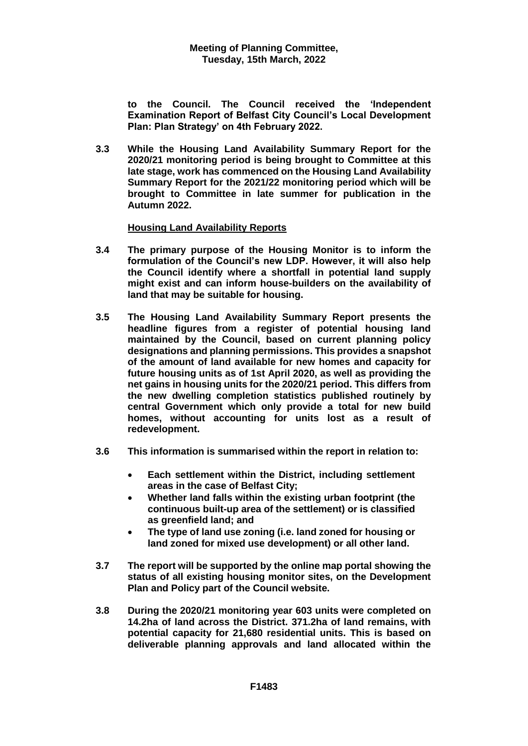**to the Council. The Council received the 'Independent Examination Report of Belfast City Council's Local Development Plan: Plan Strategy' on 4th February 2022.**

**3.3 While the Housing Land Availability Summary Report for the 2020/21 monitoring period is being brought to Committee at this late stage, work has commenced on the Housing Land Availability Summary Report for the 2021/22 monitoring period which will be brought to Committee in late summer for publication in the Autumn 2022.**

# **Housing Land Availability Reports**

- **3.4 The primary purpose of the Housing Monitor is to inform the formulation of the Council's new LDP. However, it will also help the Council identify where a shortfall in potential land supply might exist and can inform house-builders on the availability of land that may be suitable for housing.**
- **3.5 The Housing Land Availability Summary Report presents the headline figures from a register of potential housing land maintained by the Council, based on current planning policy designations and planning permissions. This provides a snapshot of the amount of land available for new homes and capacity for future housing units as of 1st April 2020, as well as providing the net gains in housing units for the 2020/21 period. This differs from the new dwelling completion statistics published routinely by central Government which only provide a total for new build homes, without accounting for units lost as a result of redevelopment.**
- **3.6 This information is summarised within the report in relation to:**
	- **Each settlement within the District, including settlement areas in the case of Belfast City;**
	- **Whether land falls within the existing urban footprint (the continuous built-up area of the settlement) or is classified as greenfield land; and**
	- **The type of land use zoning (i.e. land zoned for housing or land zoned for mixed use development) or all other land.**
- **3.7 The report will be supported by the online map portal showing the status of all existing housing monitor sites, on the Development Plan and Policy part of the Council website.**
- **3.8 During the 2020/21 monitoring year 603 units were completed on 14.2ha of land across the District. 371.2ha of land remains, with potential capacity for 21,680 residential units. This is based on deliverable planning approvals and land allocated within the**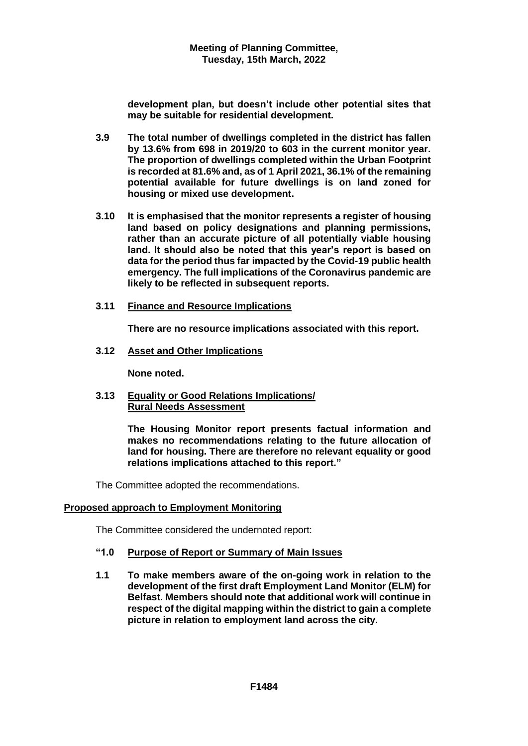**development plan, but doesn't include other potential sites that may be suitable for residential development.**

- **3.9 The total number of dwellings completed in the district has fallen by 13.6% from 698 in 2019/20 to 603 in the current monitor year. The proportion of dwellings completed within the Urban Footprint is recorded at 81.6% and, as of 1 April 2021, 36.1% of the remaining potential available for future dwellings is on land zoned for housing or mixed use development.**
- **3.10 It is emphasised that the monitor represents a register of housing land based on policy designations and planning permissions, rather than an accurate picture of all potentially viable housing land. It should also be noted that this year's report is based on data for the period thus far impacted by the Covid-19 public health emergency. The full implications of the Coronavirus pandemic are likely to be reflected in subsequent reports.**
- **3.11 Finance and Resource Implications**

**There are no resource implications associated with this report.**

**3.12 Asset and Other Implications**

**None noted.**

**3.13 Equality or Good Relations Implications/ Rural Needs Assessment**

> **The Housing Monitor report presents factual information and makes no recommendations relating to the future allocation of land for housing. There are therefore no relevant equality or good relations implications attached to this report."**

The Committee adopted the recommendations.

# **Proposed approach to Employment Monitoring**

The Committee considered the undernoted report:

# **"1.0 Purpose of Report or Summary of Main Issues**

**1.1 To make members aware of the on-going work in relation to the development of the first draft Employment Land Monitor (ELM) for Belfast. Members should note that additional work will continue in respect of the digital mapping within the district to gain a complete picture in relation to employment land across the city.**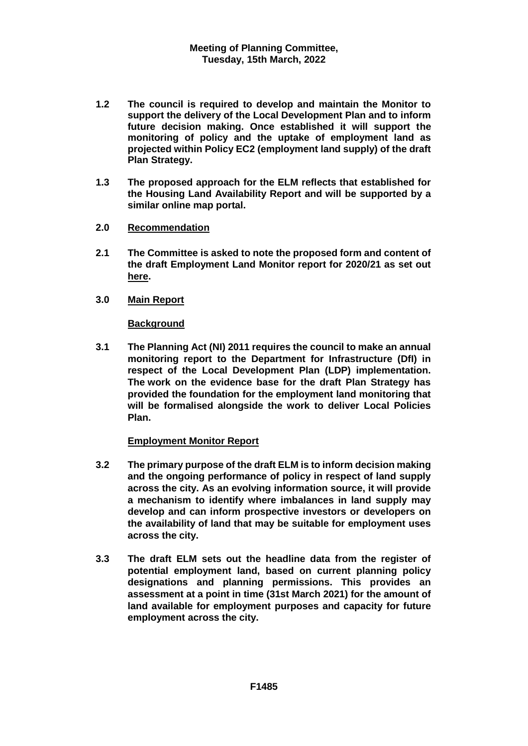- **1.2 The council is required to develop and maintain the Monitor to support the delivery of the Local Development Plan and to inform future decision making. Once established it will support the monitoring of policy and the uptake of employment land as projected within Policy EC2 (employment land supply) of the draft Plan Strategy.**
- **1.3 The proposed approach for the ELM reflects that established for the Housing Land Availability Report and will be supported by a similar online map portal.**
- **2.0 Recommendation**
- **2.1 The Committee is asked to note the proposed form and content of the draft Employment Land Monitor report for 2020/21 as set out [here.](https://minutes.belfastcity.gov.uk/documents/s97794/20220315%20Planning%20Cttee%20ELM%20Report%20App1.pdf)**
- **3.0 Main Report**

# **Background**

**3.1 The Planning Act (NI) 2011 requires the council to make an annual monitoring report to the Department for Infrastructure (DfI) in respect of the Local Development Plan (LDP) implementation. The work on the evidence base for the draft Plan Strategy has provided the foundation for the employment land monitoring that will be formalised alongside the work to deliver Local Policies Plan.**

# **Employment Monitor Report**

- **3.2 The primary purpose of the draft ELM is to inform decision making and the ongoing performance of policy in respect of land supply across the city. As an evolving information source, it will provide a mechanism to identify where imbalances in land supply may develop and can inform prospective investors or developers on the availability of land that may be suitable for employment uses across the city.**
- **3.3 The draft ELM sets out the headline data from the register of potential employment land, based on current planning policy designations and planning permissions. This provides an assessment at a point in time (31st March 2021) for the amount of land available for employment purposes and capacity for future employment across the city.**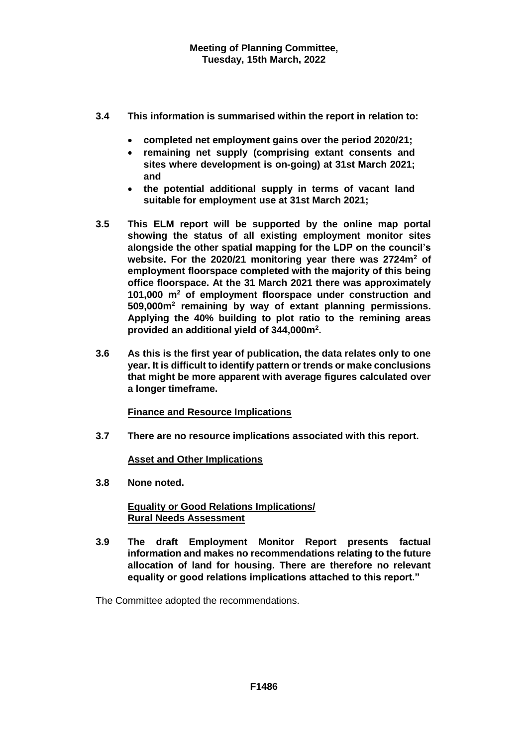- **3.4 This information is summarised within the report in relation to:**
	- **completed net employment gains over the period 2020/21;**
	- **remaining net supply (comprising extant consents and sites where development is on-going) at 31st March 2021; and**
	- **the potential additional supply in terms of vacant land suitable for employment use at 31st March 2021;**
- **3.5 This ELM report will be supported by the online map portal showing the status of all existing employment monitor sites alongside the other spatial mapping for the LDP on the council's website. For the 2020/21 monitoring year there was 2724m<sup>2</sup> of employment floorspace completed with the majority of this being office floorspace. At the 31 March 2021 there was approximately 101,000 m<sup>2</sup> of employment floorspace under construction and 509,000m<sup>2</sup> remaining by way of extant planning permissions. Applying the 40% building to plot ratio to the remining areas provided an additional yield of 344,000m<sup>2</sup> .**
- **3.6 As this is the first year of publication, the data relates only to one year. It is difficult to identify pattern or trends or make conclusions that might be more apparent with average figures calculated over a longer timeframe.**

# **Finance and Resource Implications**

**3.7 There are no resource implications associated with this report.**

# **Asset and Other Implications**

**3.8 None noted.**

# **Equality or Good Relations Implications/ Rural Needs Assessment**

**3.9 The draft Employment Monitor Report presents factual information and makes no recommendations relating to the future allocation of land for housing. There are therefore no relevant equality or good relations implications attached to this report."**

The Committee adopted the recommendations.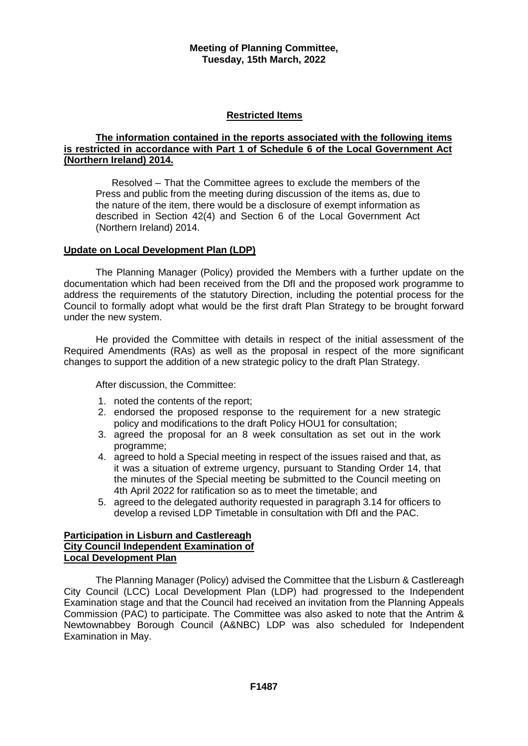# **Restricted Items**

### **The information contained in the reports associated with the following items is restricted in accordance with Part 1 of Schedule 6 of the Local Government Act (Northern Ireland) 2014.**

Resolved – That the Committee agrees to exclude the members of the Press and public from the meeting during discussion of the items as, due to the nature of the item, there would be a disclosure of exempt information as described in Section 42(4) and Section 6 of the Local Government Act (Northern Ireland) 2014.

# **Update on Local Development Plan (LDP)**

The Planning Manager (Policy) provided the Members with a further update on the documentation which had been received from the DfI and the proposed work programme to address the requirements of the statutory Direction, including the potential process for the Council to formally adopt what would be the first draft Plan Strategy to be brought forward under the new system.

He provided the Committee with details in respect of the initial assessment of the Required Amendments (RAs) as well as the proposal in respect of the more significant changes to support the addition of a new strategic policy to the draft Plan Strategy.

After discussion, the Committee:

- 1. noted the contents of the report;
- 2. endorsed the proposed response to the requirement for a new strategic policy and modifications to the draft Policy HOU1 for consultation;
- 3. agreed the proposal for an 8 week consultation as set out in the work programme;
- 4. agreed to hold a Special meeting in respect of the issues raised and that, as it was a situation of extreme urgency, pursuant to Standing Order 14, that the minutes of the Special meeting be submitted to the Council meeting on 4th April 2022 for ratification so as to meet the timetable; and
- 5. agreed to the delegated authority requested in paragraph 3.14 for officers to develop a revised LDP Timetable in consultation with DfI and the PAC.

### **Participation in Lisburn and Castlereagh City Council Independent Examination of Local Development Plan**

The Planning Manager (Policy) advised the Committee that the Lisburn & Castlereagh City Council (LCC) Local Development Plan (LDP) had progressed to the Independent Examination stage and that the Council had received an invitation from the Planning Appeals Commission (PAC) to participate. The Committee was also asked to note that the Antrim & Newtownabbey Borough Council (A&NBC) LDP was also scheduled for Independent Examination in May.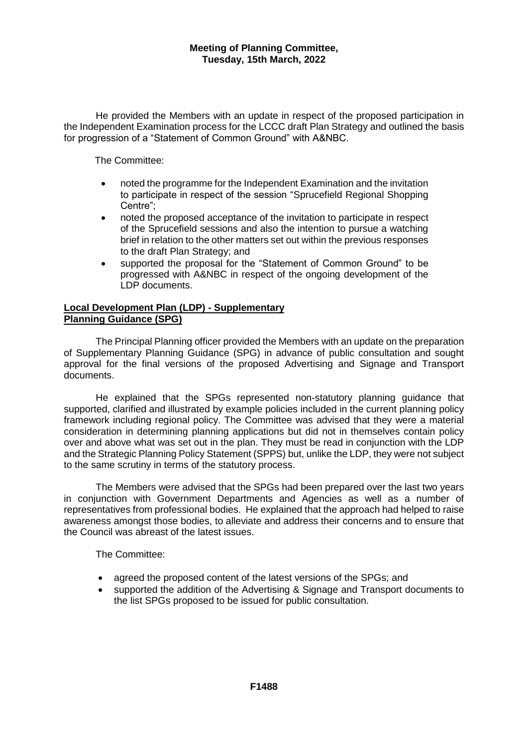He provided the Members with an update in respect of the proposed participation in the Independent Examination process for the LCCC draft Plan Strategy and outlined the basis for progression of a "Statement of Common Ground" with A&NBC.

The Committee:

- noted the programme for the Independent Examination and the invitation to participate in respect of the session "Sprucefield Regional Shopping Centre";
- noted the proposed acceptance of the invitation to participate in respect of the Sprucefield sessions and also the intention to pursue a watching brief in relation to the other matters set out within the previous responses to the draft Plan Strategy; and
- supported the proposal for the "Statement of Common Ground" to be progressed with A&NBC in respect of the ongoing development of the LDP documents.

### **Local Development Plan (LDP) - Supplementary Planning Guidance (SPG)**

The Principal Planning officer provided the Members with an update on the preparation of Supplementary Planning Guidance (SPG) in advance of public consultation and sought approval for the final versions of the proposed Advertising and Signage and Transport documents.

He explained that the SPGs represented non-statutory planning guidance that supported, clarified and illustrated by example policies included in the current planning policy framework including regional policy. The Committee was advised that they were a material consideration in determining planning applications but did not in themselves contain policy over and above what was set out in the plan. They must be read in conjunction with the LDP and the Strategic Planning Policy Statement (SPPS) but, unlike the LDP, they were not subject to the same scrutiny in terms of the statutory process.

The Members were advised that the SPGs had been prepared over the last two years in conjunction with Government Departments and Agencies as well as a number of representatives from professional bodies. He explained that the approach had helped to raise awareness amongst those bodies, to alleviate and address their concerns and to ensure that the Council was abreast of the latest issues.

The Committee:

- agreed the proposed content of the latest versions of the SPGs; and
- supported the addition of the Advertising & Signage and Transport documents to the list SPGs proposed to be issued for public consultation.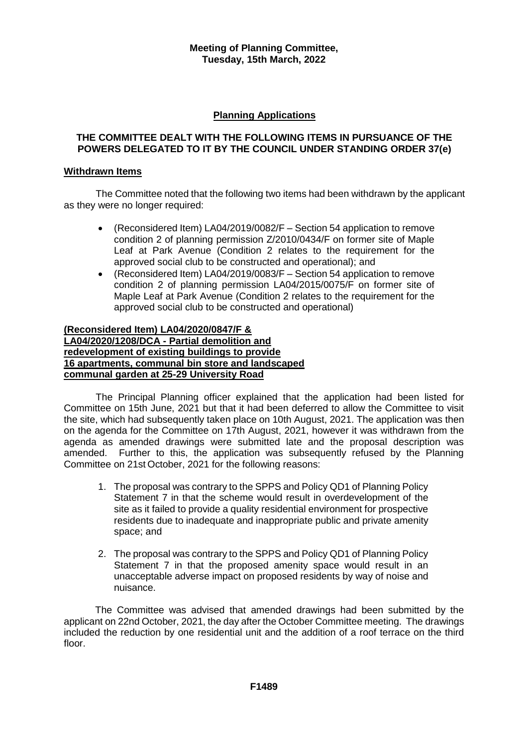# **Planning Applications**

### **THE COMMITTEE DEALT WITH THE FOLLOWING ITEMS IN PURSUANCE OF THE POWERS DELEGATED TO IT BY THE COUNCIL UNDER STANDING ORDER 37(e)**

### **Withdrawn Items**

The Committee noted that the following two items had been withdrawn by the applicant as they were no longer required:

- (Reconsidered Item) LA04/2019/0082/F Section 54 application to remove condition 2 of planning permission Z/2010/0434/F on former site of Maple Leaf at Park Avenue (Condition 2 relates to the requirement for the approved social club to be constructed and operational); and
- (Reconsidered Item) LA04/2019/0083/F Section 54 application to remove condition 2 of planning permission LA04/2015/0075/F on former site of Maple Leaf at Park Avenue (Condition 2 relates to the requirement for the approved social club to be constructed and operational)

# **(Reconsidered Item) LA04/2020/0847/F & LA04/2020/1208/DCA - Partial demolition and redevelopment of existing buildings to provide 16 apartments, communal bin store and landscaped communal garden at 25-29 University Road**

The Principal Planning officer explained that the application had been listed for Committee on 15th June, 2021 but that it had been deferred to allow the Committee to visit the site, which had subsequently taken place on 10th August, 2021. The application was then on the agenda for the Committee on 17th August, 2021, however it was withdrawn from the agenda as amended drawings were submitted late and the proposal description was amended. Further to this, the application was subsequently refused by the Planning Committee on 21st October, 2021 for the following reasons:

- 1. The proposal was contrary to the SPPS and Policy QD1 of Planning Policy Statement 7 in that the scheme would result in overdevelopment of the site as it failed to provide a quality residential environment for prospective residents due to inadequate and inappropriate public and private amenity space; and
- 2. The proposal was contrary to the SPPS and Policy QD1 of Planning Policy Statement 7 in that the proposed amenity space would result in an unacceptable adverse impact on proposed residents by way of noise and nuisance.

The Committee was advised that amended drawings had been submitted by the applicant on 22nd October, 2021, the day after the October Committee meeting. The drawings included the reduction by one residential unit and the addition of a roof terrace on the third floor.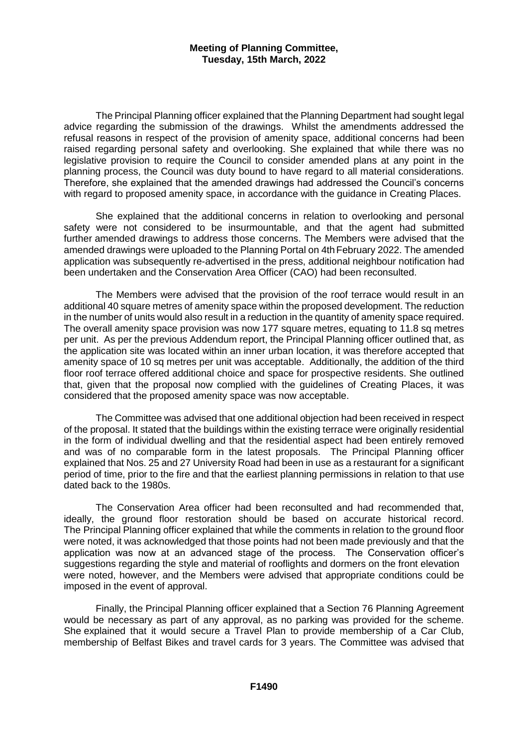The Principal Planning officer explained that the Planning Department had sought legal advice regarding the submission of the drawings. Whilst the amendments addressed the refusal reasons in respect of the provision of amenity space, additional concerns had been raised regarding personal safety and overlooking. She explained that while there was no legislative provision to require the Council to consider amended plans at any point in the planning process, the Council was duty bound to have regard to all material considerations. Therefore, she explained that the amended drawings had addressed the Council's concerns with regard to proposed amenity space, in accordance with the guidance in Creating Places.

She explained that the additional concerns in relation to overlooking and personal safety were not considered to be insurmountable, and that the agent had submitted further amended drawings to address those concerns. The Members were advised that the amended drawings were uploaded to the Planning Portal on 4th February 2022. The amended application was subsequently re-advertised in the press, additional neighbour notification had been undertaken and the Conservation Area Officer (CAO) had been reconsulted.

The Members were advised that the provision of the roof terrace would result in an additional 40 square metres of amenity space within the proposed development. The reduction in the number of units would also result in a reduction in the quantity of amenity space required. The overall amenity space provision was now 177 square metres, equating to 11.8 sq metres per unit. As per the previous Addendum report, the Principal Planning officer outlined that, as the application site was located within an inner urban location, it was therefore accepted that amenity space of 10 sq metres per unit was acceptable. Additionally, the addition of the third floor roof terrace offered additional choice and space for prospective residents. She outlined that, given that the proposal now complied with the guidelines of Creating Places, it was considered that the proposed amenity space was now acceptable.

The Committee was advised that one additional objection had been received in respect of the proposal. It stated that the buildings within the existing terrace were originally residential in the form of individual dwelling and that the residential aspect had been entirely removed and was of no comparable form in the latest proposals. The Principal Planning officer explained that Nos. 25 and 27 University Road had been in use as a restaurant for a significant period of time, prior to the fire and that the earliest planning permissions in relation to that use dated back to the 1980s.

The Conservation Area officer had been reconsulted and had recommended that, ideally, the ground floor restoration should be based on accurate historical record. The Principal Planning officer explained that while the comments in relation to the ground floor were noted, it was acknowledged that those points had not been made previously and that the application was now at an advanced stage of the process. The Conservation officer's suggestions regarding the style and material of rooflights and dormers on the front elevation were noted, however, and the Members were advised that appropriate conditions could be imposed in the event of approval.

Finally, the Principal Planning officer explained that a Section 76 Planning Agreement would be necessary as part of any approval, as no parking was provided for the scheme. She explained that it would secure a Travel Plan to provide membership of a Car Club, membership of Belfast Bikes and travel cards for 3 years. The Committee was advised that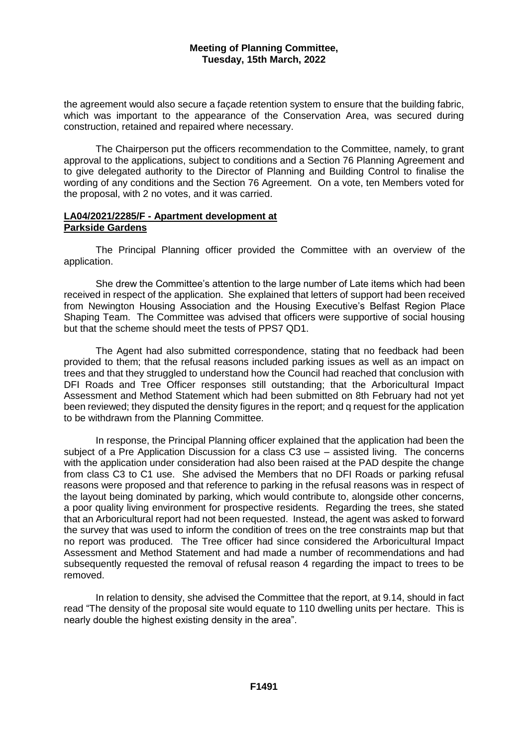the agreement would also secure a façade retention system to ensure that the building fabric, which was important to the appearance of the Conservation Area, was secured during construction, retained and repaired where necessary.

The Chairperson put the officers recommendation to the Committee, namely, to grant approval to the applications, subject to conditions and a Section 76 Planning Agreement and to give delegated authority to the Director of Planning and Building Control to finalise the wording of any conditions and the Section 76 Agreement. On a vote, ten Members voted for the proposal, with 2 no votes, and it was carried.

# **LA04/2021/2285/F - Apartment development at Parkside Gardens**

The Principal Planning officer provided the Committee with an overview of the application.

She drew the Committee's attention to the large number of Late items which had been received in respect of the application. She explained that letters of support had been received from Newington Housing Association and the Housing Executive's Belfast Region Place Shaping Team. The Committee was advised that officers were supportive of social housing but that the scheme should meet the tests of PPS7 QD1.

The Agent had also submitted correspondence, stating that no feedback had been provided to them; that the refusal reasons included parking issues as well as an impact on trees and that they struggled to understand how the Council had reached that conclusion with DFI Roads and Tree Officer responses still outstanding; that the Arboricultural Impact Assessment and Method Statement which had been submitted on 8th February had not yet been reviewed; they disputed the density figures in the report; and q request for the application to be withdrawn from the Planning Committee.

In response, the Principal Planning officer explained that the application had been the subject of a Pre Application Discussion for a class C3 use – assisted living. The concerns with the application under consideration had also been raised at the PAD despite the change from class C3 to C1 use. She advised the Members that no DFI Roads or parking refusal reasons were proposed and that reference to parking in the refusal reasons was in respect of the layout being dominated by parking, which would contribute to, alongside other concerns, a poor quality living environment for prospective residents. Regarding the trees, she stated that an Arboricultural report had not been requested. Instead, the agent was asked to forward the survey that was used to inform the condition of trees on the tree constraints map but that no report was produced. The Tree officer had since considered the Arboricultural Impact Assessment and Method Statement and had made a number of recommendations and had subsequently requested the removal of refusal reason 4 regarding the impact to trees to be removed.

In relation to density, she advised the Committee that the report, at 9.14, should in fact read "The density of the proposal site would equate to 110 dwelling units per hectare. This is nearly double the highest existing density in the area".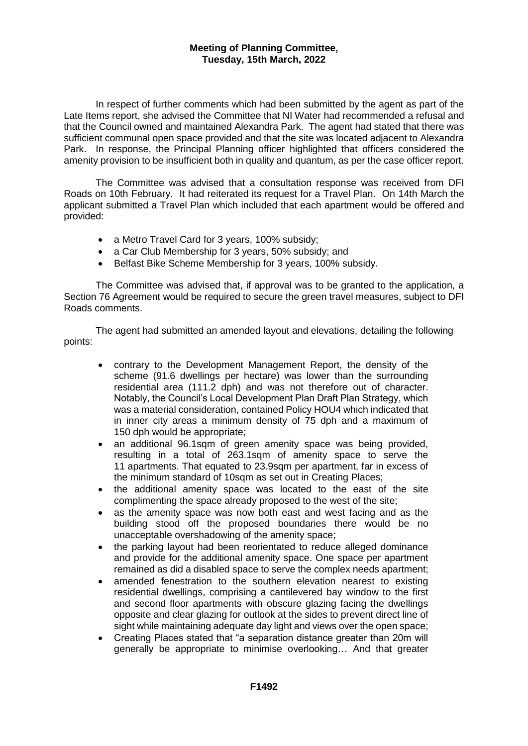In respect of further comments which had been submitted by the agent as part of the Late Items report, she advised the Committee that NI Water had recommended a refusal and that the Council owned and maintained Alexandra Park. The agent had stated that there was sufficient communal open space provided and that the site was located adjacent to Alexandra Park. In response, the Principal Planning officer highlighted that officers considered the amenity provision to be insufficient both in quality and quantum, as per the case officer report.

The Committee was advised that a consultation response was received from DFI Roads on 10th February. It had reiterated its request for a Travel Plan. On 14th March the applicant submitted a Travel Plan which included that each apartment would be offered and provided:

- a Metro Travel Card for 3 years, 100% subsidy;
- a Car Club Membership for 3 years, 50% subsidy; and
- Belfast Bike Scheme Membership for 3 years, 100% subsidy.

The Committee was advised that, if approval was to be granted to the application, a Section 76 Agreement would be required to secure the green travel measures, subject to DFI Roads comments.

The agent had submitted an amended layout and elevations, detailing the following points:

- contrary to the Development Management Report, the density of the scheme (91.6 dwellings per hectare) was lower than the surrounding residential area (111.2 dph) and was not therefore out of character. Notably, the Council's Local Development Plan Draft Plan Strategy, which was a material consideration, contained Policy HOU4 which indicated that in inner city areas a minimum density of 75 dph and a maximum of 150 dph would be appropriate;
- an additional 96.1sqm of green amenity space was being provided, resulting in a total of 263.1sqm of amenity space to serve the 11 apartments. That equated to 23.9sqm per apartment, far in excess of the minimum standard of 10sqm as set out in Creating Places;
- the additional amenity space was located to the east of the site complimenting the space already proposed to the west of the site;
- as the amenity space was now both east and west facing and as the building stood off the proposed boundaries there would be no unacceptable overshadowing of the amenity space;
- the parking layout had been reorientated to reduce alleged dominance and provide for the additional amenity space. One space per apartment remained as did a disabled space to serve the complex needs apartment;
- amended fenestration to the southern elevation nearest to existing residential dwellings, comprising a cantilevered bay window to the first and second floor apartments with obscure glazing facing the dwellings opposite and clear glazing for outlook at the sides to prevent direct line of sight while maintaining adequate day light and views over the open space;
- Creating Places stated that "a separation distance greater than 20m will generally be appropriate to minimise overlooking… And that greater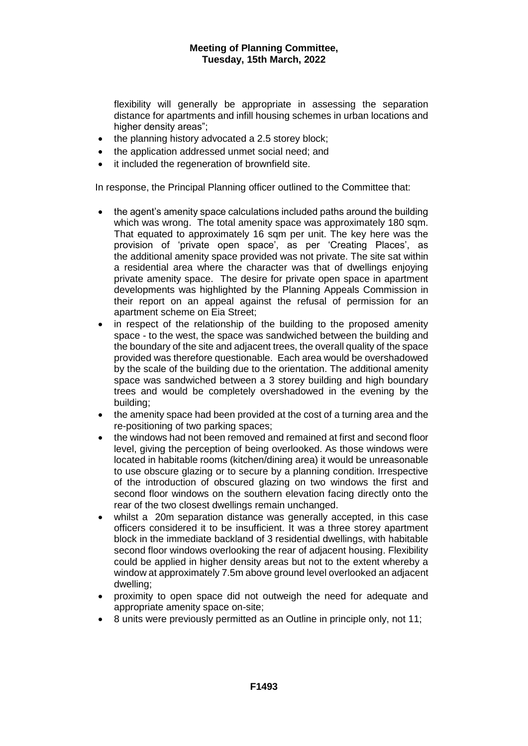flexibility will generally be appropriate in assessing the separation distance for apartments and infill housing schemes in urban locations and higher density areas";

- the planning history advocated a 2.5 storey block;
- the application addressed unmet social need; and
- it included the regeneration of brownfield site.

In response, the Principal Planning officer outlined to the Committee that:

- the agent's amenity space calculations included paths around the building which was wrong. The total amenity space was approximately 180 sqm. That equated to approximately 16 sqm per unit. The key here was the provision of 'private open space', as per 'Creating Places', as the additional amenity space provided was not private. The site sat within a residential area where the character was that of dwellings enjoying private amenity space. The desire for private open space in apartment developments was highlighted by the Planning Appeals Commission in their report on an appeal against the refusal of permission for an apartment scheme on Eia Street;
- in respect of the relationship of the building to the proposed amenity space - to the west, the space was sandwiched between the building and the boundary of the site and adjacent trees, the overall quality of the space provided was therefore questionable. Each area would be overshadowed by the scale of the building due to the orientation. The additional amenity space was sandwiched between a 3 storey building and high boundary trees and would be completely overshadowed in the evening by the building;
- the amenity space had been provided at the cost of a turning area and the re-positioning of two parking spaces;
- the windows had not been removed and remained at first and second floor level, giving the perception of being overlooked. As those windows were located in habitable rooms (kitchen/dining area) it would be unreasonable to use obscure glazing or to secure by a planning condition. Irrespective of the introduction of obscured glazing on two windows the first and second floor windows on the southern elevation facing directly onto the rear of the two closest dwellings remain unchanged.
- whilst a 20m separation distance was generally accepted, in this case officers considered it to be insufficient. It was a three storey apartment block in the immediate backland of 3 residential dwellings, with habitable second floor windows overlooking the rear of adjacent housing. Flexibility could be applied in higher density areas but not to the extent whereby a window at approximately 7.5m above ground level overlooked an adjacent dwelling;
- proximity to open space did not outweigh the need for adequate and appropriate amenity space on-site;
- 8 units were previously permitted as an Outline in principle only, not 11;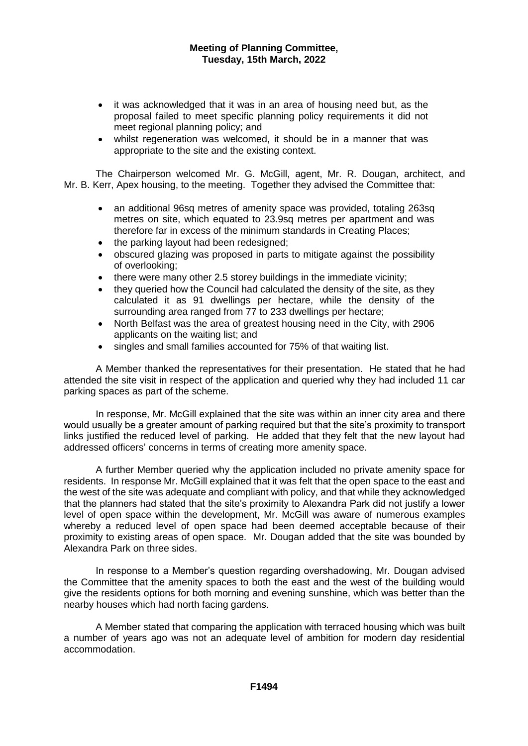- it was acknowledged that it was in an area of housing need but, as the proposal failed to meet specific planning policy requirements it did not meet regional planning policy; and
- whilst regeneration was welcomed, it should be in a manner that was appropriate to the site and the existing context.

The Chairperson welcomed Mr. G. McGill, agent, Mr. R. Dougan, architect, and Mr. B. Kerr, Apex housing, to the meeting. Together they advised the Committee that:

- an additional 96sq metres of amenity space was provided, totaling 263sq metres on site, which equated to 23.9sq metres per apartment and was therefore far in excess of the minimum standards in Creating Places;
- the parking layout had been redesigned;
- obscured glazing was proposed in parts to mitigate against the possibility of overlooking;
- there were many other 2.5 storey buildings in the immediate vicinity;
- they queried how the Council had calculated the density of the site, as they calculated it as 91 dwellings per hectare, while the density of the surrounding area ranged from 77 to 233 dwellings per hectare;
- North Belfast was the area of greatest housing need in the City, with 2906 applicants on the waiting list; and
- singles and small families accounted for 75% of that waiting list.

A Member thanked the representatives for their presentation. He stated that he had attended the site visit in respect of the application and queried why they had included 11 car parking spaces as part of the scheme.

In response, Mr. McGill explained that the site was within an inner city area and there would usually be a greater amount of parking required but that the site's proximity to transport links justified the reduced level of parking. He added that they felt that the new layout had addressed officers' concerns in terms of creating more amenity space.

A further Member queried why the application included no private amenity space for residents. In response Mr. McGill explained that it was felt that the open space to the east and the west of the site was adequate and compliant with policy, and that while they acknowledged that the planners had stated that the site's proximity to Alexandra Park did not justify a lower level of open space within the development, Mr. McGill was aware of numerous examples whereby a reduced level of open space had been deemed acceptable because of their proximity to existing areas of open space. Mr. Dougan added that the site was bounded by Alexandra Park on three sides.

In response to a Member's question regarding overshadowing, Mr. Dougan advised the Committee that the amenity spaces to both the east and the west of the building would give the residents options for both morning and evening sunshine, which was better than the nearby houses which had north facing gardens.

A Member stated that comparing the application with terraced housing which was built a number of years ago was not an adequate level of ambition for modern day residential accommodation.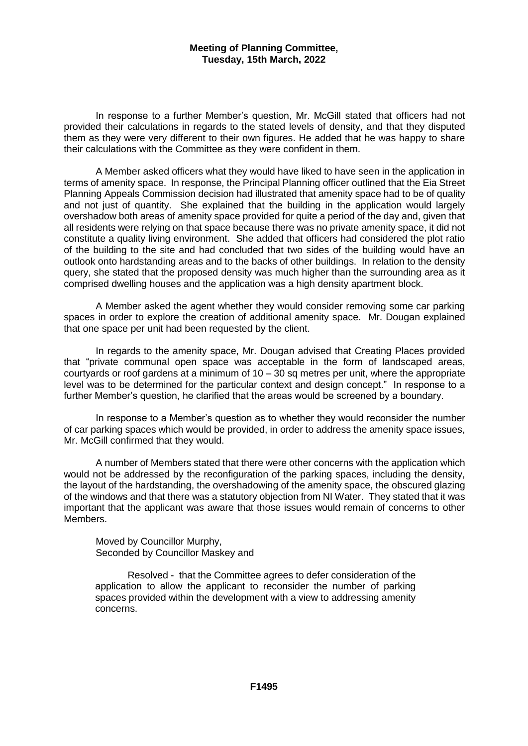In response to a further Member's question, Mr. McGill stated that officers had not provided their calculations in regards to the stated levels of density, and that they disputed them as they were very different to their own figures. He added that he was happy to share their calculations with the Committee as they were confident in them.

A Member asked officers what they would have liked to have seen in the application in terms of amenity space. In response, the Principal Planning officer outlined that the Eia Street Planning Appeals Commission decision had illustrated that amenity space had to be of quality and not just of quantity. She explained that the building in the application would largely overshadow both areas of amenity space provided for quite a period of the day and, given that all residents were relying on that space because there was no private amenity space, it did not constitute a quality living environment. She added that officers had considered the plot ratio of the building to the site and had concluded that two sides of the building would have an outlook onto hardstanding areas and to the backs of other buildings. In relation to the density query, she stated that the proposed density was much higher than the surrounding area as it comprised dwelling houses and the application was a high density apartment block.

A Member asked the agent whether they would consider removing some car parking spaces in order to explore the creation of additional amenity space. Mr. Dougan explained that one space per unit had been requested by the client.

In regards to the amenity space, Mr. Dougan advised that Creating Places provided that "private communal open space was acceptable in the form of landscaped areas, courtyards or roof gardens at a minimum of  $10 - 30$  sq metres per unit, where the appropriate level was to be determined for the particular context and design concept." In response to a further Member's question, he clarified that the areas would be screened by a boundary.

In response to a Member's question as to whether they would reconsider the number of car parking spaces which would be provided, in order to address the amenity space issues, Mr. McGill confirmed that they would.

A number of Members stated that there were other concerns with the application which would not be addressed by the reconfiguration of the parking spaces, including the density, the layout of the hardstanding, the overshadowing of the amenity space, the obscured glazing of the windows and that there was a statutory objection from NI Water. They stated that it was important that the applicant was aware that those issues would remain of concerns to other Members.

Moved by Councillor Murphy, Seconded by Councillor Maskey and

Resolved - that the Committee agrees to defer consideration of the application to allow the applicant to reconsider the number of parking spaces provided within the development with a view to addressing amenity concerns.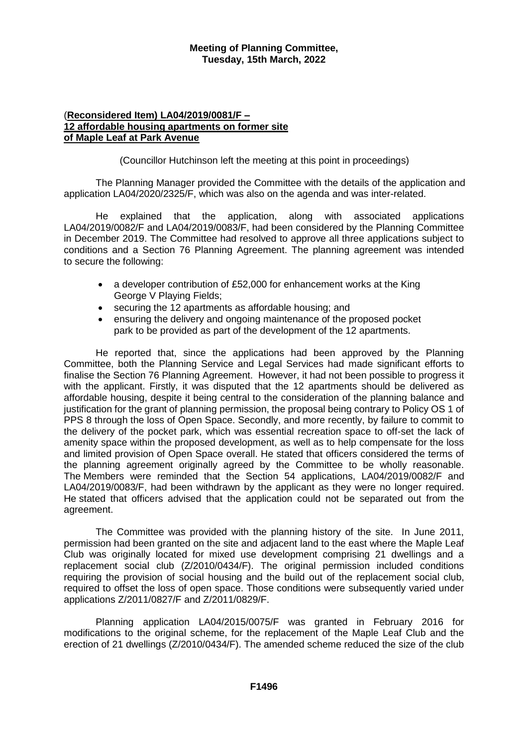# (**Reconsidered Item) LA04/2019/0081/F – 12 affordable housing apartments on former site of Maple Leaf at Park Avenue**

(Councillor Hutchinson left the meeting at this point in proceedings)

The Planning Manager provided the Committee with the details of the application and application LA04/2020/2325/F, which was also on the agenda and was inter-related.

He explained that the application, along with associated applications LA04/2019/0082/F and LA04/2019/0083/F, had been considered by the Planning Committee in December 2019. The Committee had resolved to approve all three applications subject to conditions and a Section 76 Planning Agreement. The planning agreement was intended to secure the following:

- a developer contribution of £52,000 for enhancement works at the King George V Playing Fields;
- securing the 12 apartments as affordable housing; and
- ensuring the delivery and ongoing maintenance of the proposed pocket park to be provided as part of the development of the 12 apartments.

He reported that, since the applications had been approved by the Planning Committee, both the Planning Service and Legal Services had made significant efforts to finalise the Section 76 Planning Agreement. However, it had not been possible to progress it with the applicant. Firstly, it was disputed that the 12 apartments should be delivered as affordable housing, despite it being central to the consideration of the planning balance and justification for the grant of planning permission, the proposal being contrary to Policy OS 1 of PPS 8 through the loss of Open Space. Secondly, and more recently, by failure to commit to the delivery of the pocket park, which was essential recreation space to off-set the lack of amenity space within the proposed development, as well as to help compensate for the loss and limited provision of Open Space overall. He stated that officers considered the terms of the planning agreement originally agreed by the Committee to be wholly reasonable. The Members were reminded that the Section 54 applications, LA04/2019/0082/F and LA04/2019/0083/F, had been withdrawn by the applicant as they were no longer required. He stated that officers advised that the application could not be separated out from the agreement.

The Committee was provided with the planning history of the site. In June 2011, permission had been granted on the site and adjacent land to the east where the Maple Leaf Club was originally located for mixed use development comprising 21 dwellings and a replacement social club (Z/2010/0434/F). The original permission included conditions requiring the provision of social housing and the build out of the replacement social club, required to offset the loss of open space. Those conditions were subsequently varied under applications Z/2011/0827/F and Z/2011/0829/F.

Planning application LA04/2015/0075/F was granted in February 2016 for modifications to the original scheme, for the replacement of the Maple Leaf Club and the erection of 21 dwellings (Z/2010/0434/F). The amended scheme reduced the size of the club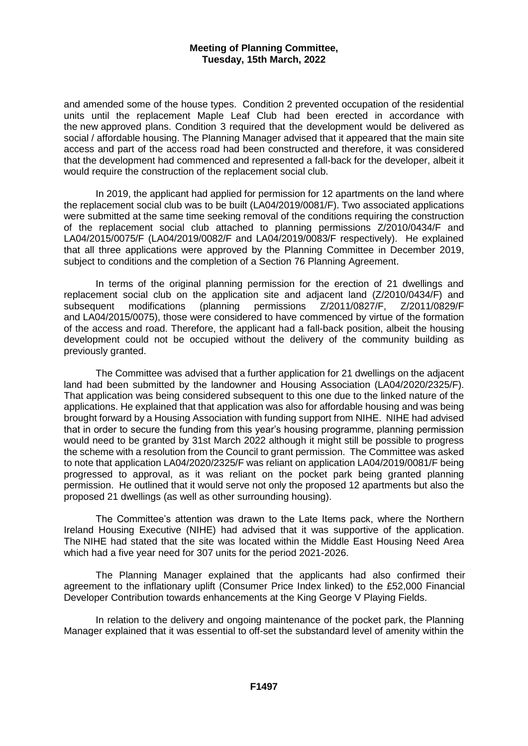and amended some of the house types. Condition 2 prevented occupation of the residential units until the replacement Maple Leaf Club had been erected in accordance with the new approved plans. Condition 3 required that the development would be delivered as social / affordable housing. The Planning Manager advised that it appeared that the main site access and part of the access road had been constructed and therefore, it was considered that the development had commenced and represented a fall-back for the developer, albeit it would require the construction of the replacement social club.

In 2019, the applicant had applied for permission for 12 apartments on the land where the replacement social club was to be built (LA04/2019/0081/F). Two associated applications were submitted at the same time seeking removal of the conditions requiring the construction of the replacement social club attached to planning permissions Z/2010/0434/F and LA04/2015/0075/F (LA04/2019/0082/F and LA04/2019/0083/F respectively). He explained that all three applications were approved by the Planning Committee in December 2019, subject to conditions and the completion of a Section 76 Planning Agreement.

In terms of the original planning permission for the erection of 21 dwellings and replacement social club on the application site and adjacent land (Z/2010/0434/F) and subsequent modifications (planning permissions Z/2011/0827/F, Z/2011/0829/F and LA04/2015/0075), those were considered to have commenced by virtue of the formation of the access and road. Therefore, the applicant had a fall-back position, albeit the housing development could not be occupied without the delivery of the community building as previously granted.

The Committee was advised that a further application for 21 dwellings on the adjacent land had been submitted by the landowner and Housing Association (LA04/2020/2325/F). That application was being considered subsequent to this one due to the linked nature of the applications. He explained that that application was also for affordable housing and was being brought forward by a Housing Association with funding support from NIHE. NIHE had advised that in order to secure the funding from this year's housing programme, planning permission would need to be granted by 31st March 2022 although it might still be possible to progress the scheme with a resolution from the Council to grant permission. The Committee was asked to note that application LA04/2020/2325/F was reliant on application LA04/2019/0081/F being progressed to approval, as it was reliant on the pocket park being granted planning permission. He outlined that it would serve not only the proposed 12 apartments but also the proposed 21 dwellings (as well as other surrounding housing).

The Committee's attention was drawn to the Late Items pack, where the Northern Ireland Housing Executive (NIHE) had advised that it was supportive of the application. The NIHE had stated that the site was located within the Middle East Housing Need Area which had a five year need for 307 units for the period 2021-2026.

The Planning Manager explained that the applicants had also confirmed their agreement to the inflationary uplift (Consumer Price Index linked) to the £52,000 Financial Developer Contribution towards enhancements at the King George V Playing Fields.

In relation to the delivery and ongoing maintenance of the pocket park, the Planning Manager explained that it was essential to off-set the substandard level of amenity within the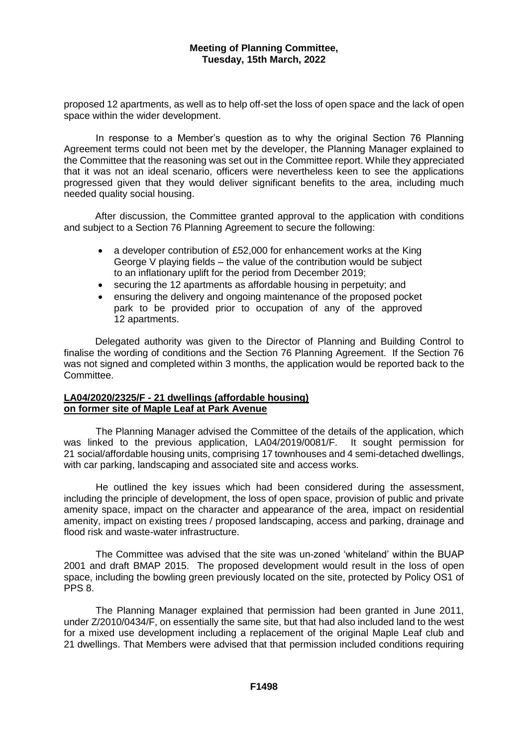proposed 12 apartments, as well as to help off-set the loss of open space and the lack of open space within the wider development.

In response to a Member's question as to why the original Section 76 Planning Agreement terms could not been met by the developer, the Planning Manager explained to the Committee that the reasoning was set out in the Committee report. While they appreciated that it was not an ideal scenario, officers were nevertheless keen to see the applications progressed given that they would deliver significant benefits to the area, including much needed quality social housing.

After discussion, the Committee granted approval to the application with conditions and subject to a Section 76 Planning Agreement to secure the following:

- a developer contribution of £52,000 for enhancement works at the King George V playing fields – the value of the contribution would be subject to an inflationary uplift for the period from December 2019;
- securing the 12 apartments as affordable housing in perpetuity; and
- ensuring the delivery and ongoing maintenance of the proposed pocket park to be provided prior to occupation of any of the approved 12 apartments.

Delegated authority was given to the Director of Planning and Building Control to finalise the wording of conditions and the Section 76 Planning Agreement. If the Section 76 was not signed and completed within 3 months, the application would be reported back to the Committee.

#### **LA04/2020/2325/F - 21 dwellings (affordable housing) on former site of Maple Leaf at Park Avenue**

The Planning Manager advised the Committee of the details of the application, which was linked to the previous application, LA04/2019/0081/F. It sought permission for 21 social/affordable housing units, comprising 17 townhouses and 4 semi-detached dwellings, with car parking, landscaping and associated site and access works.

He outlined the key issues which had been considered during the assessment, including the principle of development, the loss of open space, provision of public and private amenity space, impact on the character and appearance of the area, impact on residential amenity, impact on existing trees / proposed landscaping, access and parking, drainage and flood risk and waste-water infrastructure.

The Committee was advised that the site was un-zoned 'whiteland' within the BUAP 2001 and draft BMAP 2015. The proposed development would result in the loss of open space, including the bowling green previously located on the site, protected by Policy OS1 of PPS 8.

The Planning Manager explained that permission had been granted in June 2011, under Z/2010/0434/F, on essentially the same site, but that had also included land to the west for a mixed use development including a replacement of the original Maple Leaf club and 21 dwellings. That Members were advised that that permission included conditions requiring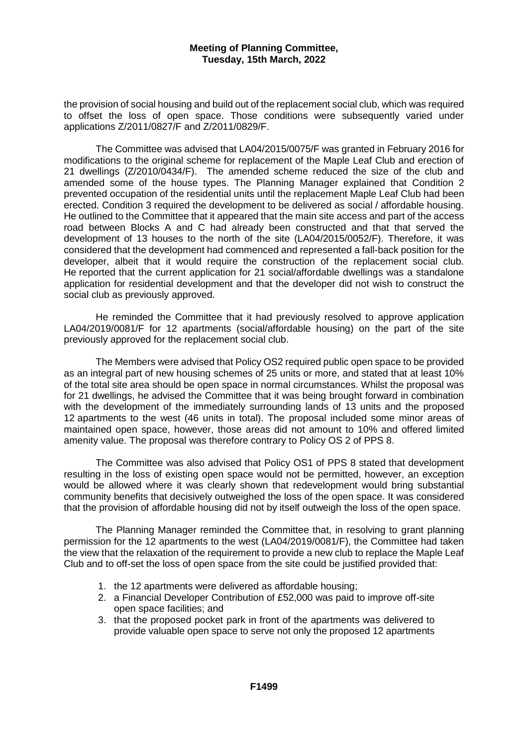the provision of social housing and build out of the replacement social club, which was required to offset the loss of open space. Those conditions were subsequently varied under applications Z/2011/0827/F and Z/2011/0829/F.

The Committee was advised that LA04/2015/0075/F was granted in February 2016 for modifications to the original scheme for replacement of the Maple Leaf Club and erection of 21 dwellings (Z/2010/0434/F). The amended scheme reduced the size of the club and amended some of the house types. The Planning Manager explained that Condition 2 prevented occupation of the residential units until the replacement Maple Leaf Club had been erected. Condition 3 required the development to be delivered as social / affordable housing. He outlined to the Committee that it appeared that the main site access and part of the access road between Blocks A and C had already been constructed and that that served the development of 13 houses to the north of the site (LA04/2015/0052/F). Therefore, it was considered that the development had commenced and represented a fall-back position for the developer, albeit that it would require the construction of the replacement social club. He reported that the current application for 21 social/affordable dwellings was a standalone application for residential development and that the developer did not wish to construct the social club as previously approved.

He reminded the Committee that it had previously resolved to approve application LA04/2019/0081/F for 12 apartments (social/affordable housing) on the part of the site previously approved for the replacement social club.

The Members were advised that Policy OS2 required public open space to be provided as an integral part of new housing schemes of 25 units or more, and stated that at least 10% of the total site area should be open space in normal circumstances. Whilst the proposal was for 21 dwellings, he advised the Committee that it was being brought forward in combination with the development of the immediately surrounding lands of 13 units and the proposed 12 apartments to the west (46 units in total). The proposal included some minor areas of maintained open space, however, those areas did not amount to 10% and offered limited amenity value. The proposal was therefore contrary to Policy OS 2 of PPS 8.

The Committee was also advised that Policy OS1 of PPS 8 stated that development resulting in the loss of existing open space would not be permitted, however, an exception would be allowed where it was clearly shown that redevelopment would bring substantial community benefits that decisively outweighed the loss of the open space. It was considered that the provision of affordable housing did not by itself outweigh the loss of the open space.

The Planning Manager reminded the Committee that, in resolving to grant planning permission for the 12 apartments to the west (LA04/2019/0081/F), the Committee had taken the view that the relaxation of the requirement to provide a new club to replace the Maple Leaf Club and to off-set the loss of open space from the site could be justified provided that:

- 1. the 12 apartments were delivered as affordable housing;
- 2. a Financial Developer Contribution of £52,000 was paid to improve off-site open space facilities; and
- 3. that the proposed pocket park in front of the apartments was delivered to provide valuable open space to serve not only the proposed 12 apartments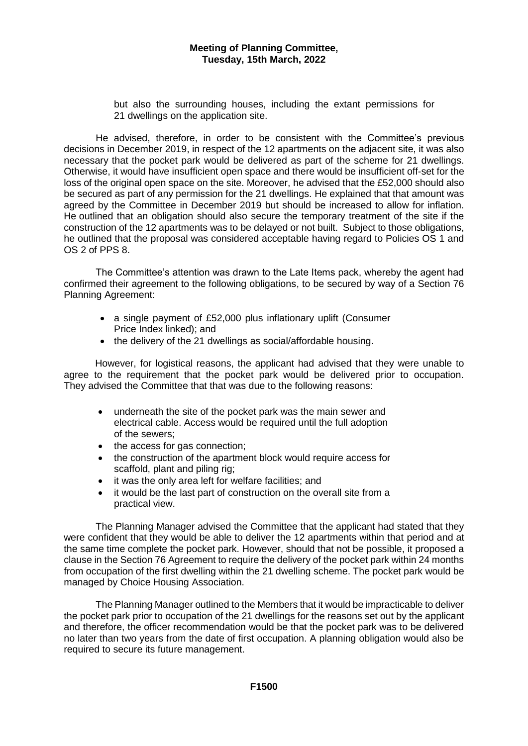but also the surrounding houses, including the extant permissions for 21 dwellings on the application site.

He advised, therefore, in order to be consistent with the Committee's previous decisions in December 2019, in respect of the 12 apartments on the adjacent site, it was also necessary that the pocket park would be delivered as part of the scheme for 21 dwellings. Otherwise, it would have insufficient open space and there would be insufficient off-set for the loss of the original open space on the site. Moreover, he advised that the £52,000 should also be secured as part of any permission for the 21 dwellings. He explained that that amount was agreed by the Committee in December 2019 but should be increased to allow for inflation. He outlined that an obligation should also secure the temporary treatment of the site if the construction of the 12 apartments was to be delayed or not built. Subject to those obligations, he outlined that the proposal was considered acceptable having regard to Policies OS 1 and OS 2 of PPS 8.

The Committee's attention was drawn to the Late Items pack, whereby the agent had confirmed their agreement to the following obligations, to be secured by way of a Section 76 Planning Agreement:

- a single payment of £52,000 plus inflationary uplift (Consumer Price Index linked); and
- the delivery of the 21 dwellings as social/affordable housing.

However, for logistical reasons, the applicant had advised that they were unable to agree to the requirement that the pocket park would be delivered prior to occupation. They advised the Committee that that was due to the following reasons:

- underneath the site of the pocket park was the main sewer and electrical cable. Access would be required until the full adoption of the sewers;
- the access for gas connection:
- the construction of the apartment block would require access for scaffold, plant and piling rig;
- it was the only area left for welfare facilities; and
- it would be the last part of construction on the overall site from a practical view.

The Planning Manager advised the Committee that the applicant had stated that they were confident that they would be able to deliver the 12 apartments within that period and at the same time complete the pocket park. However, should that not be possible, it proposed a clause in the Section 76 Agreement to require the delivery of the pocket park within 24 months from occupation of the first dwelling within the 21 dwelling scheme. The pocket park would be managed by Choice Housing Association.

The Planning Manager outlined to the Members that it would be impracticable to deliver the pocket park prior to occupation of the 21 dwellings for the reasons set out by the applicant and therefore, the officer recommendation would be that the pocket park was to be delivered no later than two years from the date of first occupation. A planning obligation would also be required to secure its future management.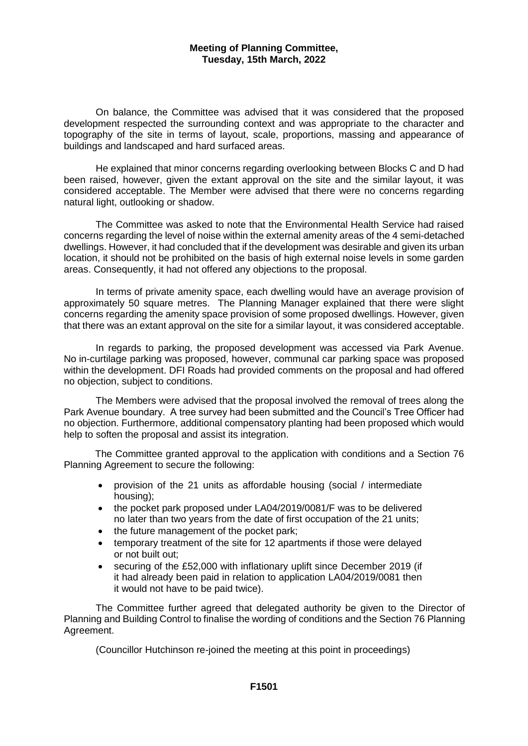On balance, the Committee was advised that it was considered that the proposed development respected the surrounding context and was appropriate to the character and topography of the site in terms of layout, scale, proportions, massing and appearance of buildings and landscaped and hard surfaced areas.

He explained that minor concerns regarding overlooking between Blocks C and D had been raised, however, given the extant approval on the site and the similar layout, it was considered acceptable. The Member were advised that there were no concerns regarding natural light, outlooking or shadow.

The Committee was asked to note that the Environmental Health Service had raised concerns regarding the level of noise within the external amenity areas of the 4 semi-detached dwellings. However, it had concluded that if the development was desirable and given its urban location, it should not be prohibited on the basis of high external noise levels in some garden areas. Consequently, it had not offered any objections to the proposal.

In terms of private amenity space, each dwelling would have an average provision of approximately 50 square metres. The Planning Manager explained that there were slight concerns regarding the amenity space provision of some proposed dwellings. However, given that there was an extant approval on the site for a similar layout, it was considered acceptable.

In regards to parking, the proposed development was accessed via Park Avenue. No in-curtilage parking was proposed, however, communal car parking space was proposed within the development. DFI Roads had provided comments on the proposal and had offered no objection, subject to conditions.

The Members were advised that the proposal involved the removal of trees along the Park Avenue boundary. A tree survey had been submitted and the Council's Tree Officer had no objection. Furthermore, additional compensatory planting had been proposed which would help to soften the proposal and assist its integration.

The Committee granted approval to the application with conditions and a Section 76 Planning Agreement to secure the following:

- provision of the 21 units as affordable housing (social / intermediate housing);
- the pocket park proposed under LA04/2019/0081/F was to be delivered no later than two years from the date of first occupation of the 21 units;
- the future management of the pocket park;
- temporary treatment of the site for 12 apartments if those were delayed or not built out;
- securing of the £52,000 with inflationary uplift since December 2019 (if it had already been paid in relation to application LA04/2019/0081 then it would not have to be paid twice).

The Committee further agreed that delegated authority be given to the Director of Planning and Building Control to finalise the wording of conditions and the Section 76 Planning Agreement.

(Councillor Hutchinson re-joined the meeting at this point in proceedings)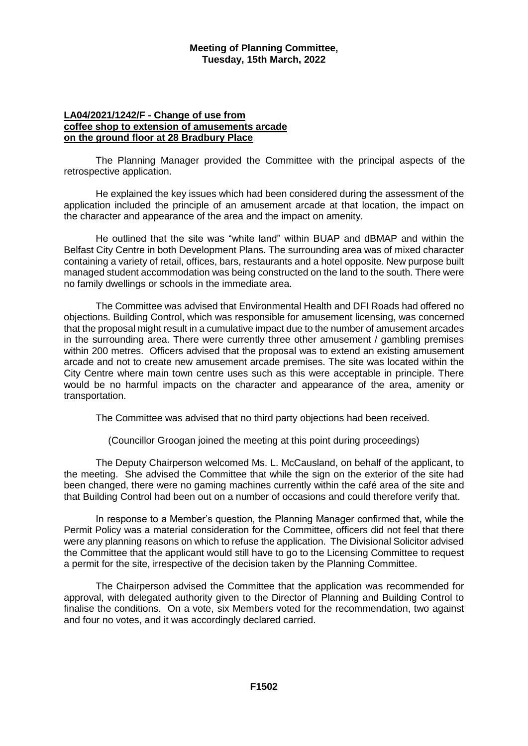### **LA04/2021/1242/F - Change of use from coffee shop to extension of amusements arcade on the ground floor at 28 Bradbury Place**

The Planning Manager provided the Committee with the principal aspects of the retrospective application.

He explained the key issues which had been considered during the assessment of the application included the principle of an amusement arcade at that location, the impact on the character and appearance of the area and the impact on amenity.

He outlined that the site was "white land" within BUAP and dBMAP and within the Belfast City Centre in both Development Plans. The surrounding area was of mixed character containing a variety of retail, offices, bars, restaurants and a hotel opposite. New purpose built managed student accommodation was being constructed on the land to the south. There were no family dwellings or schools in the immediate area.

The Committee was advised that Environmental Health and DFI Roads had offered no objections. Building Control, which was responsible for amusement licensing, was concerned that the proposal might result in a cumulative impact due to the number of amusement arcades in the surrounding area. There were currently three other amusement / gambling premises within 200 metres. Officers advised that the proposal was to extend an existing amusement arcade and not to create new amusement arcade premises. The site was located within the City Centre where main town centre uses such as this were acceptable in principle. There would be no harmful impacts on the character and appearance of the area, amenity or transportation.

The Committee was advised that no third party objections had been received.

(Councillor Groogan joined the meeting at this point during proceedings)

The Deputy Chairperson welcomed Ms. L. McCausland, on behalf of the applicant, to the meeting. She advised the Committee that while the sign on the exterior of the site had been changed, there were no gaming machines currently within the café area of the site and that Building Control had been out on a number of occasions and could therefore verify that.

In response to a Member's question, the Planning Manager confirmed that, while the Permit Policy was a material consideration for the Committee, officers did not feel that there were any planning reasons on which to refuse the application. The Divisional Solicitor advised the Committee that the applicant would still have to go to the Licensing Committee to request a permit for the site, irrespective of the decision taken by the Planning Committee.

The Chairperson advised the Committee that the application was recommended for approval, with delegated authority given to the Director of Planning and Building Control to finalise the conditions. On a vote, six Members voted for the recommendation, two against and four no votes, and it was accordingly declared carried.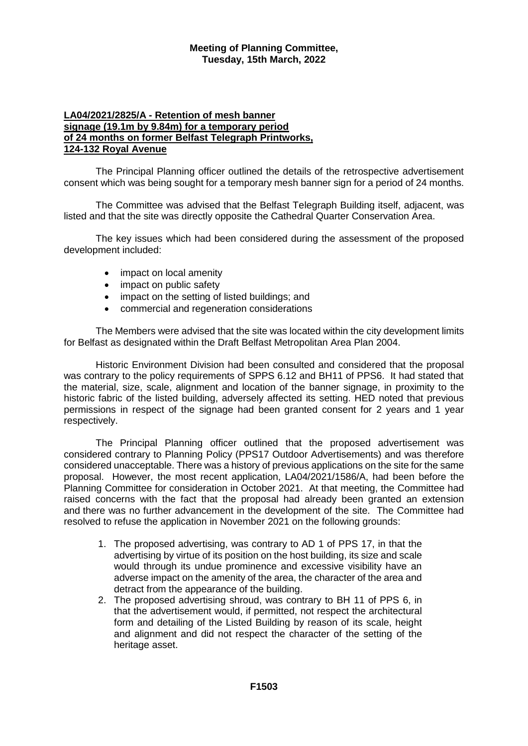# **LA04/2021/2825/A - Retention of mesh banner signage (19.1m by 9.84m) for a temporary period of 24 months on former Belfast Telegraph Printworks, 124-132 Royal Avenue**

The Principal Planning officer outlined the details of the retrospective advertisement consent which was being sought for a temporary mesh banner sign for a period of 24 months.

The Committee was advised that the Belfast Telegraph Building itself, adjacent, was listed and that the site was directly opposite the Cathedral Quarter Conservation Area.

The key issues which had been considered during the assessment of the proposed development included:

- impact on local amenity
- impact on public safety
- impact on the setting of listed buildings; and
- commercial and regeneration considerations

The Members were advised that the site was located within the city development limits for Belfast as designated within the Draft Belfast Metropolitan Area Plan 2004.

Historic Environment Division had been consulted and considered that the proposal was contrary to the policy requirements of SPPS 6.12 and BH11 of PPS6. It had stated that the material, size, scale, alignment and location of the banner signage, in proximity to the historic fabric of the listed building, adversely affected its setting. HED noted that previous permissions in respect of the signage had been granted consent for 2 years and 1 year respectively.

The Principal Planning officer outlined that the proposed advertisement was considered contrary to Planning Policy (PPS17 Outdoor Advertisements) and was therefore considered unacceptable. There was a history of previous applications on the site for the same proposal. However, the most recent application, LA04/2021/1586/A, had been before the Planning Committee for consideration in October 2021. At that meeting, the Committee had raised concerns with the fact that the proposal had already been granted an extension and there was no further advancement in the development of the site. The Committee had resolved to refuse the application in November 2021 on the following grounds:

- 1. The proposed advertising, was contrary to AD 1 of PPS 17, in that the advertising by virtue of its position on the host building, its size and scale would through its undue prominence and excessive visibility have an adverse impact on the amenity of the area, the character of the area and detract from the appearance of the building.
- 2. The proposed advertising shroud, was contrary to BH 11 of PPS 6, in that the advertisement would, if permitted, not respect the architectural form and detailing of the Listed Building by reason of its scale, height and alignment and did not respect the character of the setting of the heritage asset.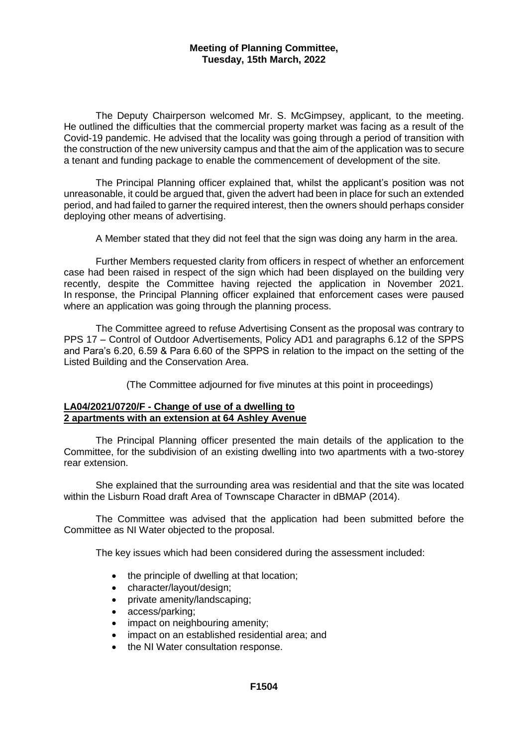The Deputy Chairperson welcomed Mr. S. McGimpsey, applicant, to the meeting. He outlined the difficulties that the commercial property market was facing as a result of the Covid-19 pandemic. He advised that the locality was going through a period of transition with the construction of the new university campus and that the aim of the application was to secure a tenant and funding package to enable the commencement of development of the site.

The Principal Planning officer explained that, whilst the applicant's position was not unreasonable, it could be argued that, given the advert had been in place for such an extended period, and had failed to garner the required interest, then the owners should perhaps consider deploying other means of advertising.

A Member stated that they did not feel that the sign was doing any harm in the area.

Further Members requested clarity from officers in respect of whether an enforcement case had been raised in respect of the sign which had been displayed on the building very recently, despite the Committee having rejected the application in November 2021. In response, the Principal Planning officer explained that enforcement cases were paused where an application was going through the planning process.

The Committee agreed to refuse Advertising Consent as the proposal was contrary to PPS 17 – Control of Outdoor Advertisements, Policy AD1 and paragraphs 6.12 of the SPPS and Para's 6.20, 6.59 & Para 6.60 of the SPPS in relation to the impact on the setting of the Listed Building and the Conservation Area.

(The Committee adjourned for five minutes at this point in proceedings)

# **LA04/2021/0720/F - Change of use of a dwelling to 2 apartments with an extension at 64 Ashley Avenue**

The Principal Planning officer presented the main details of the application to the Committee, for the subdivision of an existing dwelling into two apartments with a two-storey rear extension.

She explained that the surrounding area was residential and that the site was located within the Lisburn Road draft Area of Townscape Character in dBMAP (2014).

The Committee was advised that the application had been submitted before the Committee as NI Water objected to the proposal.

The key issues which had been considered during the assessment included:

- the principle of dwelling at that location;
- character/layout/design;
- private amenity/landscaping;
- access/parking;
- impact on neighbouring amenity;
- impact on an established residential area; and
- the NI Water consultation response.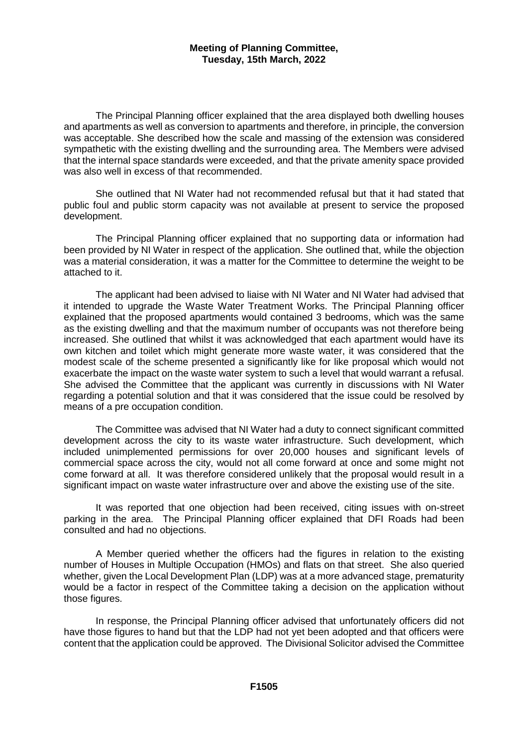The Principal Planning officer explained that the area displayed both dwelling houses and apartments as well as conversion to apartments and therefore, in principle, the conversion was acceptable. She described how the scale and massing of the extension was considered sympathetic with the existing dwelling and the surrounding area. The Members were advised that the internal space standards were exceeded, and that the private amenity space provided was also well in excess of that recommended.

She outlined that NI Water had not recommended refusal but that it had stated that public foul and public storm capacity was not available at present to service the proposed development.

The Principal Planning officer explained that no supporting data or information had been provided by NI Water in respect of the application. She outlined that, while the objection was a material consideration, it was a matter for the Committee to determine the weight to be attached to it.

The applicant had been advised to liaise with NI Water and NI Water had advised that it intended to upgrade the Waste Water Treatment Works. The Principal Planning officer explained that the proposed apartments would contained 3 bedrooms, which was the same as the existing dwelling and that the maximum number of occupants was not therefore being increased. She outlined that whilst it was acknowledged that each apartment would have its own kitchen and toilet which might generate more waste water, it was considered that the modest scale of the scheme presented a significantly like for like proposal which would not exacerbate the impact on the waste water system to such a level that would warrant a refusal. She advised the Committee that the applicant was currently in discussions with NI Water regarding a potential solution and that it was considered that the issue could be resolved by means of a pre occupation condition.

The Committee was advised that NI Water had a duty to connect significant committed development across the city to its waste water infrastructure. Such development, which included unimplemented permissions for over 20,000 houses and significant levels of commercial space across the city, would not all come forward at once and some might not come forward at all. It was therefore considered unlikely that the proposal would result in a significant impact on waste water infrastructure over and above the existing use of the site.

It was reported that one objection had been received, citing issues with on-street parking in the area. The Principal Planning officer explained that DFI Roads had been consulted and had no objections.

A Member queried whether the officers had the figures in relation to the existing number of Houses in Multiple Occupation (HMOs) and flats on that street. She also queried whether, given the Local Development Plan (LDP) was at a more advanced stage, prematurity would be a factor in respect of the Committee taking a decision on the application without those figures.

In response, the Principal Planning officer advised that unfortunately officers did not have those figures to hand but that the LDP had not yet been adopted and that officers were content that the application could be approved. The Divisional Solicitor advised the Committee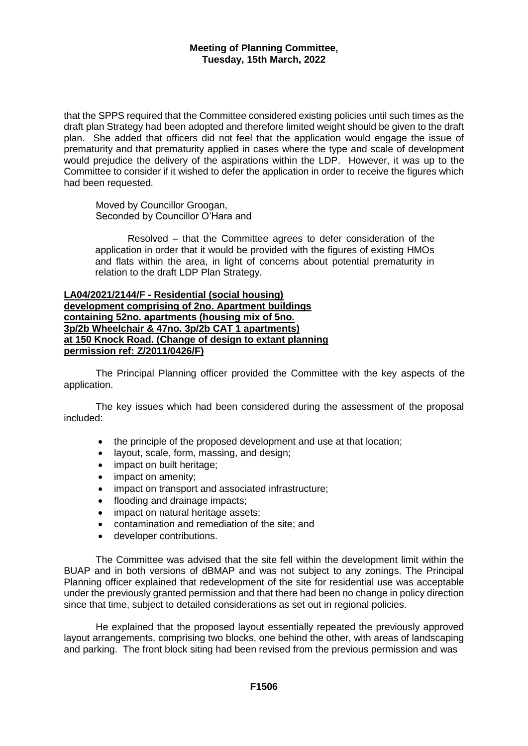that the SPPS required that the Committee considered existing policies until such times as the draft plan Strategy had been adopted and therefore limited weight should be given to the draft plan. She added that officers did not feel that the application would engage the issue of prematurity and that prematurity applied in cases where the type and scale of development would prejudice the delivery of the aspirations within the LDP. However, it was up to the Committee to consider if it wished to defer the application in order to receive the figures which had been requested.

Moved by Councillor Groogan, Seconded by Councillor O'Hara and

Resolved – that the Committee agrees to defer consideration of the application in order that it would be provided with the figures of existing HMOs and flats within the area, in light of concerns about potential prematurity in relation to the draft LDP Plan Strategy.

**LA04/2021/2144/F - Residential (social housing) development comprising of 2no. Apartment buildings containing 52no. apartments (housing mix of 5no. 3p/2b Wheelchair & 47no. 3p/2b CAT 1 apartments) at 150 Knock Road. (Change of design to extant planning permission ref: Z/2011/0426/F)**

The Principal Planning officer provided the Committee with the key aspects of the application.

The key issues which had been considered during the assessment of the proposal included:

- the principle of the proposed development and use at that location;
- layout, scale, form, massing, and design;
- impact on built heritage;
- impact on amenity;
- impact on transport and associated infrastructure;
- flooding and drainage impacts;
- impact on natural heritage assets;
- contamination and remediation of the site; and
- developer contributions.

The Committee was advised that the site fell within the development limit within the BUAP and in both versions of dBMAP and was not subject to any zonings. The Principal Planning officer explained that redevelopment of the site for residential use was acceptable under the previously granted permission and that there had been no change in policy direction since that time, subject to detailed considerations as set out in regional policies.

He explained that the proposed layout essentially repeated the previously approved layout arrangements, comprising two blocks, one behind the other, with areas of landscaping and parking. The front block siting had been revised from the previous permission and was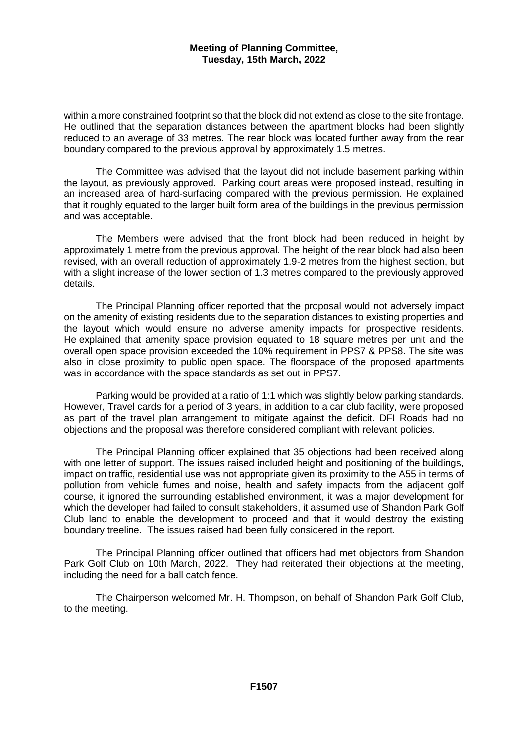within a more constrained footprint so that the block did not extend as close to the site frontage. He outlined that the separation distances between the apartment blocks had been slightly reduced to an average of 33 metres. The rear block was located further away from the rear boundary compared to the previous approval by approximately 1.5 metres.

The Committee was advised that the layout did not include basement parking within the layout, as previously approved. Parking court areas were proposed instead, resulting in an increased area of hard-surfacing compared with the previous permission. He explained that it roughly equated to the larger built form area of the buildings in the previous permission and was acceptable.

The Members were advised that the front block had been reduced in height by approximately 1 metre from the previous approval. The height of the rear block had also been revised, with an overall reduction of approximately 1.9-2 metres from the highest section, but with a slight increase of the lower section of 1.3 metres compared to the previously approved details.

The Principal Planning officer reported that the proposal would not adversely impact on the amenity of existing residents due to the separation distances to existing properties and the layout which would ensure no adverse amenity impacts for prospective residents. He explained that amenity space provision equated to 18 square metres per unit and the overall open space provision exceeded the 10% requirement in PPS7 & PPS8. The site was also in close proximity to public open space. The floorspace of the proposed apartments was in accordance with the space standards as set out in PPS7.

Parking would be provided at a ratio of 1:1 which was slightly below parking standards. However, Travel cards for a period of 3 years, in addition to a car club facility, were proposed as part of the travel plan arrangement to mitigate against the deficit. DFI Roads had no objections and the proposal was therefore considered compliant with relevant policies.

The Principal Planning officer explained that 35 objections had been received along with one letter of support. The issues raised included height and positioning of the buildings, impact on traffic, residential use was not appropriate given its proximity to the A55 in terms of pollution from vehicle fumes and noise, health and safety impacts from the adjacent golf course, it ignored the surrounding established environment, it was a major development for which the developer had failed to consult stakeholders, it assumed use of Shandon Park Golf Club land to enable the development to proceed and that it would destroy the existing boundary treeline. The issues raised had been fully considered in the report.

The Principal Planning officer outlined that officers had met objectors from Shandon Park Golf Club on 10th March, 2022. They had reiterated their objections at the meeting, including the need for a ball catch fence.

The Chairperson welcomed Mr. H. Thompson, on behalf of Shandon Park Golf Club, to the meeting.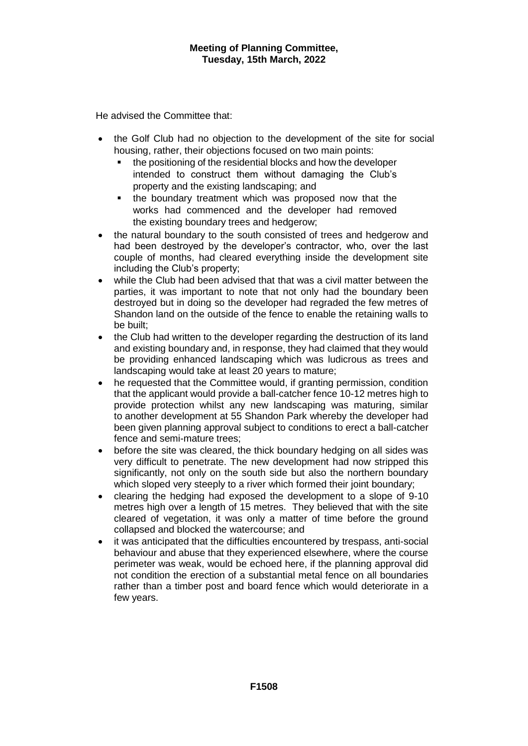He advised the Committee that:

- the Golf Club had no objection to the development of the site for social housing, rather, their objections focused on two main points:
	- the positioning of the residential blocks and how the developer intended to construct them without damaging the Club's property and the existing landscaping; and
	- the boundary treatment which was proposed now that the works had commenced and the developer had removed the existing boundary trees and hedgerow;
- the natural boundary to the south consisted of trees and hedgerow and had been destroyed by the developer's contractor, who, over the last couple of months, had cleared everything inside the development site including the Club's property;
- while the Club had been advised that that was a civil matter between the parties, it was important to note that not only had the boundary been destroyed but in doing so the developer had regraded the few metres of Shandon land on the outside of the fence to enable the retaining walls to be built;
- the Club had written to the developer regarding the destruction of its land and existing boundary and, in response, they had claimed that they would be providing enhanced landscaping which was ludicrous as trees and landscaping would take at least 20 years to mature;
- he requested that the Committee would, if granting permission, condition that the applicant would provide a ball-catcher fence 10-12 metres high to provide protection whilst any new landscaping was maturing, similar to another development at 55 Shandon Park whereby the developer had been given planning approval subject to conditions to erect a ball-catcher fence and semi-mature trees;
- before the site was cleared, the thick boundary hedging on all sides was very difficult to penetrate. The new development had now stripped this significantly, not only on the south side but also the northern boundary which sloped very steeply to a river which formed their joint boundary;
- clearing the hedging had exposed the development to a slope of 9-10 metres high over a length of 15 metres. They believed that with the site cleared of vegetation, it was only a matter of time before the ground collapsed and blocked the watercourse; and
- it was anticipated that the difficulties encountered by trespass, anti-social behaviour and abuse that they experienced elsewhere, where the course perimeter was weak, would be echoed here, if the planning approval did not condition the erection of a substantial metal fence on all boundaries rather than a timber post and board fence which would deteriorate in a few years.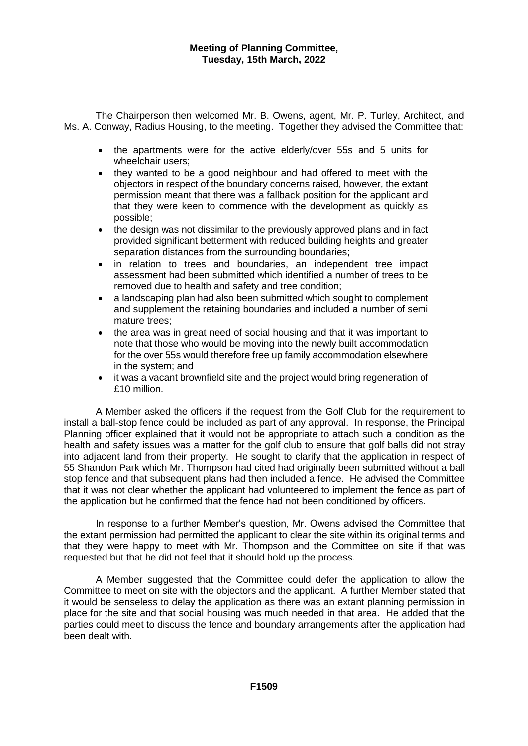The Chairperson then welcomed Mr. B. Owens, agent, Mr. P. Turley, Architect, and Ms. A. Conway, Radius Housing, to the meeting. Together they advised the Committee that:

- the apartments were for the active elderly/over 55s and 5 units for wheelchair users;
- they wanted to be a good neighbour and had offered to meet with the objectors in respect of the boundary concerns raised, however, the extant permission meant that there was a fallback position for the applicant and that they were keen to commence with the development as quickly as possible;
- the design was not dissimilar to the previously approved plans and in fact provided significant betterment with reduced building heights and greater separation distances from the surrounding boundaries;
- in relation to trees and boundaries, an independent tree impact assessment had been submitted which identified a number of trees to be removed due to health and safety and tree condition;
- a landscaping plan had also been submitted which sought to complement and supplement the retaining boundaries and included a number of semi mature trees;
- the area was in great need of social housing and that it was important to note that those who would be moving into the newly built accommodation for the over 55s would therefore free up family accommodation elsewhere in the system; and
- it was a vacant brownfield site and the project would bring regeneration of £10 million.

A Member asked the officers if the request from the Golf Club for the requirement to install a ball-stop fence could be included as part of any approval. In response, the Principal Planning officer explained that it would not be appropriate to attach such a condition as the health and safety issues was a matter for the golf club to ensure that golf balls did not stray into adjacent land from their property. He sought to clarify that the application in respect of 55 Shandon Park which Mr. Thompson had cited had originally been submitted without a ball stop fence and that subsequent plans had then included a fence. He advised the Committee that it was not clear whether the applicant had volunteered to implement the fence as part of the application but he confirmed that the fence had not been conditioned by officers.

In response to a further Member's question, Mr. Owens advised the Committee that the extant permission had permitted the applicant to clear the site within its original terms and that they were happy to meet with Mr. Thompson and the Committee on site if that was requested but that he did not feel that it should hold up the process.

A Member suggested that the Committee could defer the application to allow the Committee to meet on site with the objectors and the applicant. A further Member stated that it would be senseless to delay the application as there was an extant planning permission in place for the site and that social housing was much needed in that area. He added that the parties could meet to discuss the fence and boundary arrangements after the application had been dealt with.